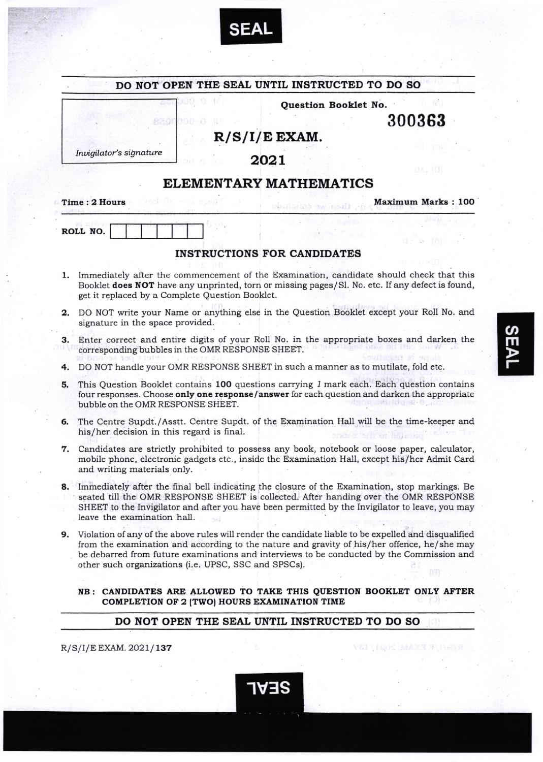

|    |                                                                                                                                                                                                                                                                                                                                                          |                                                                                  | Question Booklet No.               |                           |
|----|----------------------------------------------------------------------------------------------------------------------------------------------------------------------------------------------------------------------------------------------------------------------------------------------------------------------------------------------------------|----------------------------------------------------------------------------------|------------------------------------|---------------------------|
|    | 8300<br>81 H H                                                                                                                                                                                                                                                                                                                                           |                                                                                  |                                    | 300363                    |
|    |                                                                                                                                                                                                                                                                                                                                                          |                                                                                  | $R/S/I/E$ EXAM.                    |                           |
|    | Invigilator's signature                                                                                                                                                                                                                                                                                                                                  |                                                                                  | 2021                               |                           |
|    |                                                                                                                                                                                                                                                                                                                                                          |                                                                                  | ELEMENTARY MATHEMATICS             | 08. IA                    |
|    | Time: 2 Hours                                                                                                                                                                                                                                                                                                                                            |                                                                                  | SUILDERS SW ROLL                   | <b>Maximum Marks: 100</b> |
|    | ROLL NO.                                                                                                                                                                                                                                                                                                                                                 |                                                                                  |                                    |                           |
|    |                                                                                                                                                                                                                                                                                                                                                          |                                                                                  | <b>INSTRUCTIONS FOR CANDIDATES</b> |                           |
| ı. | Immediately after the commencement of the Examination, candidate should check that this<br>Booklet does NOT have any unprinted, torn or missing pages/Sl. No. etc. If any defect is found,<br>get it replaced by a Complete Question Booklet.                                                                                                            |                                                                                  |                                    |                           |
| 2. | DO NOT write your Name or anything else in the Question Booklet except your Roll No. and<br>signature in the space provided.                                                                                                                                                                                                                             |                                                                                  |                                    |                           |
| з. | Enter correct and entire digits of your Roll No. in the appropriate boxes and darken the<br>corresponding bubbles in the OMR RESPONSE SHEET.                                                                                                                                                                                                             |                                                                                  |                                    |                           |
| 4. |                                                                                                                                                                                                                                                                                                                                                          | DO NOT handle your OMR RESPONSE SHEET in such a manner as to mutilate, fold etc. |                                    |                           |
| 5. | This Question Booklet contains 100 questions carrying 1 mark each. Each question contains<br>four responses. Choose only one response/answer for each question and darken the appropriate<br>bubble on the OMR RESPONSE SHEET.                                                                                                                           |                                                                                  |                                    |                           |
| 6. | The Centre Supdt./Asstt. Centre Supdt. of the Examination Hall will be the time-keeper and<br>his/her decision in this regard is final.                                                                                                                                                                                                                  |                                                                                  |                                    |                           |
| 7. | Candidates are strictly prohibited to possess any book, notebook or loose paper, calculator,<br>mobile phone, electronic gadgets etc., inside the Examination Hall, except his/her Admit Card<br>and writing materials only.                                                                                                                             |                                                                                  |                                    |                           |
|    | 8. Immediately after the final bell indicating the closure of the Examination, stop markings. Be<br>seated till the OMR RESPONSE SHEET is collected. After handing over the OMR RESPONSE<br>SHEET to the Invigilator and after you have been permitted by the Invigilator to leave, you may<br>leave the examination hall.                               |                                                                                  |                                    |                           |
| 9. | Violation of any of the above rules will render the candidate liable to be expelled and disqualified<br>from the examination and according to the nature and gravity of his/her offence, he/she may<br>be debarred from future examinations and interviews to be conducted by the Commission and<br>other such organizations (i.e. UPSC, SSC and SPSCs). |                                                                                  |                                    |                           |
|    | NB: CANDIDATES ARE ALLOWED TO TAKE THIS QUESTION BOOKLET ONLY AFTER<br>COMPLETION OF 2 (TWO) HOURS EXAMINATION TIME                                                                                                                                                                                                                                      |                                                                                  |                                    |                           |

1V3S

R/S/I/E EXAM. 2021/137

E EXAM: 2021/137